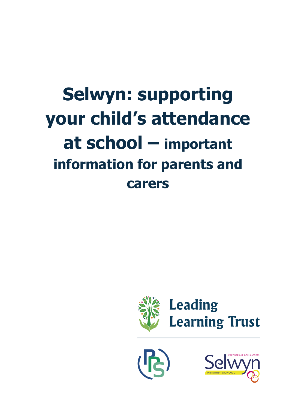# **Selwyn: supporting your child's attendance at school – important information for parents and carers**



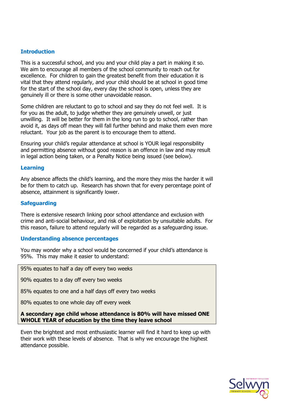## **Introduction**

This is a successful school, and you and your child play a part in making it so. We aim to encourage all members of the school community to reach out for excellence. For children to gain the greatest benefit from their education it is vital that they attend regularly, and your child should be at school in good time for the start of the school day, every day the school is open, unless they are genuinely ill or there is some other unavoidable reason.

Some children are reluctant to go to school and say they do not feel well. It is for you as the adult, to judge whether they are genuinely unwell, or just unwilling. It will be better for them in the long run to go to school, rather than avoid it, as days off mean they will fall further behind and make them even more reluctant. Your job as the parent is to encourage them to attend.

Ensuring your child's regular attendance at school is YOUR legal responsibility and permitting absence without good reason is an offence in law and may result in legal action being taken, or a Penalty Notice being issued (see below).

## **Learning**

Any absence affects the child's learning, and the more they miss the harder it will be for them to catch up. Research has shown that for every percentage point of absence, attainment is significantly lower.

## **Safeguarding**

There is extensive research linking poor school attendance and exclusion with crime and anti-social behaviour, and risk of exploitation by unsuitable adults. For this reason, failure to attend regularly will be regarded as a safeguarding issue.

## **Understanding absence percentages**

You may wonder why a school would be concerned if your child's attendance is 95%. This may make it easier to understand:

95% equates to half a day off every two weeks

90% equates to a day off every two weeks

85% equates to one and a half days off every two weeks

80% equates to one whole day off every week

**A secondary age child whose attendance is 80% will have missed ONE WHOLE YEAR of education by the time they leave school**

Even the brightest and most enthusiastic learner will find it hard to keep up with their work with these levels of absence. That is why we encourage the highest attendance possible.

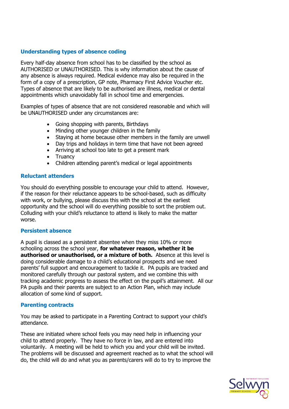## **Understanding types of absence coding**

Every half-day absence from school has to be classified by the school as AUTHORISED or UNAUTHORISED. This is why information about the cause of any absence is always required. Medical evidence may also be required in the form of a copy of a prescription, GP note, Pharmacy First Advice Voucher etc. Types of absence that are likely to be authorised are illness, medical or dental appointments which unavoidably fall in school time and emergencies.

Examples of types of absence that are not considered reasonable and which will be UNAUTHORISED under any circumstances are:

- Going shopping with parents, Birthdays
- Minding other younger children in the family
- Staying at home because other members in the family are unwell
- Day trips and holidays in term time that have not been agreed
- Arriving at school too late to get a present mark
- Truancy
- Children attending parent's medical or legal appointments

### **Reluctant attenders**

You should do everything possible to encourage your child to attend. However, if the reason for their reluctance appears to be school-based, such as difficulty with work, or bullying, please discuss this with the school at the earliest opportunity and the school will do everything possible to sort the problem out. Colluding with your child's reluctance to attend is likely to make the matter worse.

#### **Persistent absence**

A pupil is classed as a persistent absentee when they miss 10% or more schooling across the school year, **for whatever reason, whether it be authorised or unauthorised, or a mixture of both.** Absence at this level is doing considerable damage to a child's educational prospects and we need parents' full support and encouragement to tackle it. PA pupils are tracked and monitored carefully through our pastoral system, and we combine this with tracking academic progress to assess the effect on the pupil's attainment. All our PA pupils and their parents are subject to an Action Plan, which may include allocation of some kind of support.

#### **Parenting contracts**

You may be asked to participate in a Parenting Contract to support your child's attendance.

These are initiated where school feels you may need help in influencing your child to attend properly. They have no force in law, and are entered into voluntarily. A meeting will be held to which you and your child will be invited. The problems will be discussed and agreement reached as to what the school will do, the child will do and what you as parents/carers will do to try to improve the

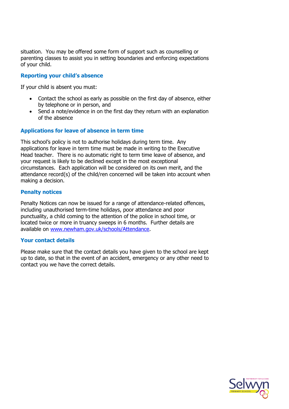situation. You may be offered some form of support such as counselling or parenting classes to assist you in setting boundaries and enforcing expectations of your child.

## **Reporting your child's absence**

If your child is absent you must:

- Contact the school as early as possible on the first day of absence, either by telephone or in person, and
- Send a note/evidence in on the first day they return with an explanation of the absence

## **Applications for leave of absence in term time**

This school's policy is not to authorise holidays during term time. Any applications for leave in term time must be made in writing to the Executive Head teacher. There is no automatic right to term time leave of absence, and your request is likely to be declined except in the most exceptional circumstances. Each application will be considered on its own merit, and the attendance record(s) of the child/ren concerned will be taken into account when making a decision.

## **Penalty notices**

Penalty Notices can now be issued for a range of attendance-related offences, including unauthorised term-time holidays, poor attendance and poor punctuality, a child coming to the attention of the police in school time, or located twice or more in truancy sweeps in 6 months. Further details are available on [www.newham.gov.uk/schools/Attendance.](http://www.newham.gov.uk/schools/Attendance)

## **Your contact details**

Please make sure that the contact details you have given to the school are kept up to date, so that in the event of an accident, emergency or any other need to contact you we have the correct details.